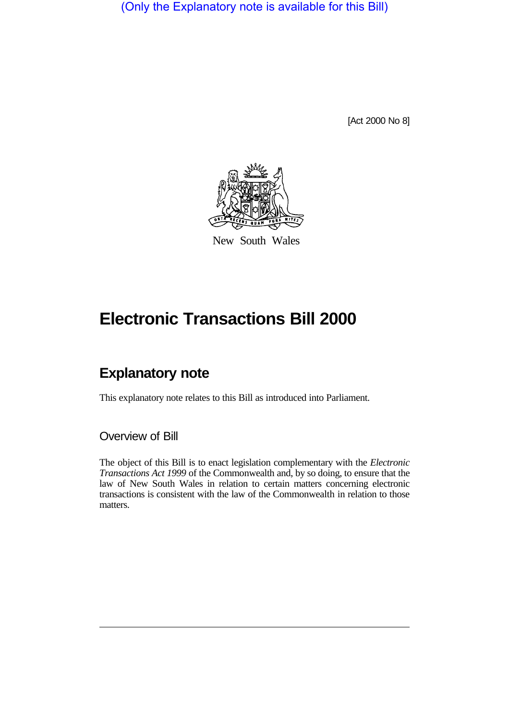(Only the Explanatory note is available for this Bill)

[Act 2000 No 8]



New South Wales

# **Electronic Transactions Bill 2000**

## **Explanatory note**

This explanatory note relates to this Bill as introduced into Parliament.

#### Overview of Bill

The object of this Bill is to enact legislation complementary with the *Electronic Transactions Act 1999* of the Commonwealth and, by so doing, to ensure that the law of New South Wales in relation to certain matters concerning electronic transactions is consistent with the law of the Commonwealth in relation to those matters.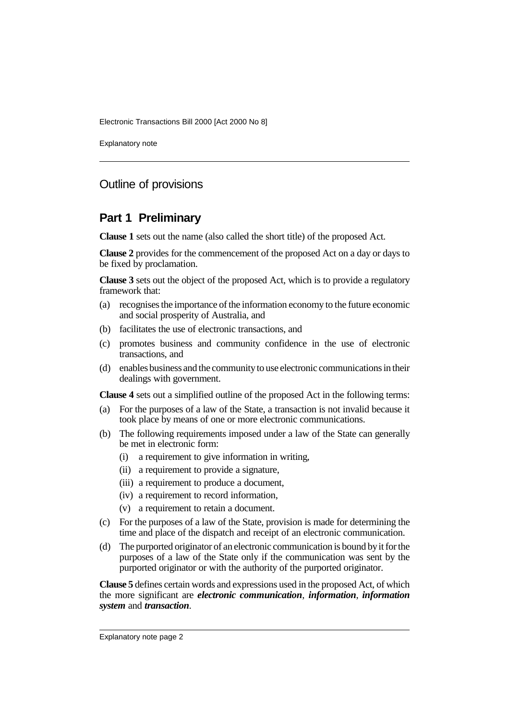Explanatory note

### Outline of provisions

#### **Part 1 Preliminary**

**Clause 1** sets out the name (also called the short title) of the proposed Act.

**Clause 2** provides for the commencement of the proposed Act on a day or days to be fixed by proclamation.

**Clause 3** sets out the object of the proposed Act, which is to provide a regulatory framework that:

- (a) recognises the importance of the information economy to the future economic and social prosperity of Australia, and
- (b) facilitates the use of electronic transactions, and
- (c) promotes business and community confidence in the use of electronic transactions, and
- (d) enables business and the community to use electronic communications in their dealings with government.

**Clause 4** sets out a simplified outline of the proposed Act in the following terms:

- (a) For the purposes of a law of the State, a transaction is not invalid because it took place by means of one or more electronic communications.
- (b) The following requirements imposed under a law of the State can generally be met in electronic form:
	- (i) a requirement to give information in writing,
	- (ii) a requirement to provide a signature,
	- (iii) a requirement to produce a document,
	- (iv) a requirement to record information,
	- (v) a requirement to retain a document.
- (c) For the purposes of a law of the State, provision is made for determining the time and place of the dispatch and receipt of an electronic communication.
- (d) The purported originator of an electronic communication is bound by it for the purposes of a law of the State only if the communication was sent by the purported originator or with the authority of the purported originator.

**Clause 5** defines certain words and expressions used in the proposed Act, of which the more significant are *electronic communication*, *information*, *information system* and *transaction*.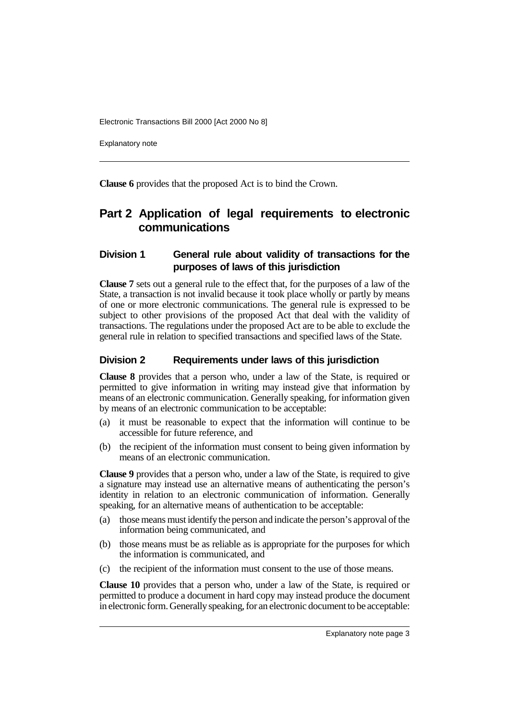Explanatory note

**Clause 6** provides that the proposed Act is to bind the Crown.

### **Part 2 Application of legal requirements to electronic communications**

#### **Division 1 General rule about validity of transactions for the purposes of laws of this jurisdiction**

**Clause 7** sets out a general rule to the effect that, for the purposes of a law of the State, a transaction is not invalid because it took place wholly or partly by means of one or more electronic communications. The general rule is expressed to be subject to other provisions of the proposed Act that deal with the validity of transactions. The regulations under the proposed Act are to be able to exclude the general rule in relation to specified transactions and specified laws of the State.

#### **Division 2 Requirements under laws of this jurisdiction**

**Clause 8** provides that a person who, under a law of the State, is required or permitted to give information in writing may instead give that information by means of an electronic communication. Generally speaking, for information given by means of an electronic communication to be acceptable:

- (a) it must be reasonable to expect that the information will continue to be accessible for future reference, and
- (b) the recipient of the information must consent to being given information by means of an electronic communication.

**Clause 9** provides that a person who, under a law of the State, is required to give a signature may instead use an alternative means of authenticating the person's identity in relation to an electronic communication of information. Generally speaking, for an alternative means of authentication to be acceptable:

- (a) those means must identify the person and indicate the person's approval of the information being communicated, and
- (b) those means must be as reliable as is appropriate for the purposes for which the information is communicated, and
- (c) the recipient of the information must consent to the use of those means.

**Clause 10** provides that a person who, under a law of the State, is required or permitted to produce a document in hard copy may instead produce the document in electronic form. Generally speaking, for an electronic document to be acceptable: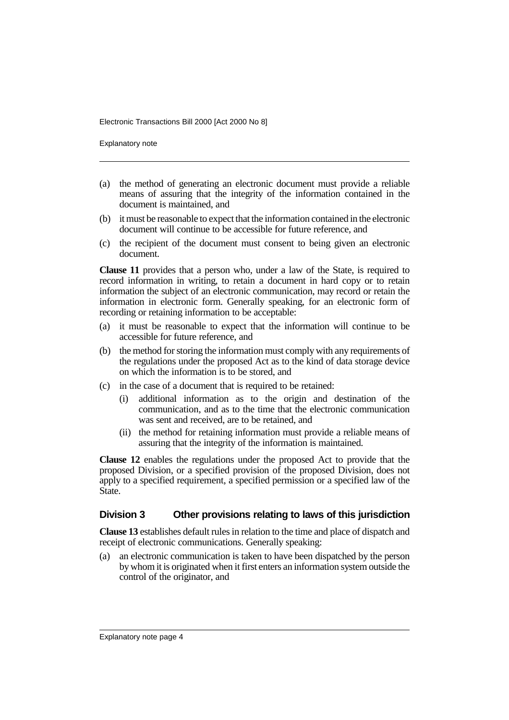Explanatory note

- (a) the method of generating an electronic document must provide a reliable means of assuring that the integrity of the information contained in the document is maintained, and
- (b) it must be reasonable to expect that the information contained in the electronic document will continue to be accessible for future reference, and
- (c) the recipient of the document must consent to being given an electronic document.

**Clause 11** provides that a person who, under a law of the State, is required to record information in writing, to retain a document in hard copy or to retain information the subject of an electronic communication, may record or retain the information in electronic form. Generally speaking, for an electronic form of recording or retaining information to be acceptable:

- (a) it must be reasonable to expect that the information will continue to be accessible for future reference, and
- (b) the method for storing the information must comply with any requirements of the regulations under the proposed Act as to the kind of data storage device on which the information is to be stored, and
- (c) in the case of a document that is required to be retained:
	- (i) additional information as to the origin and destination of the communication, and as to the time that the electronic communication was sent and received, are to be retained, and
	- (ii) the method for retaining information must provide a reliable means of assuring that the integrity of the information is maintained.

**Clause 12** enables the regulations under the proposed Act to provide that the proposed Division, or a specified provision of the proposed Division, does not apply to a specified requirement, a specified permission or a specified law of the State.

#### **Division 3 Other provisions relating to laws of this jurisdiction**

**Clause 13** establishes default rules in relation to the time and place of dispatch and receipt of electronic communications. Generally speaking:

(a) an electronic communication is taken to have been dispatched by the person by whom it is originated when it first enters an information system outside the control of the originator, and